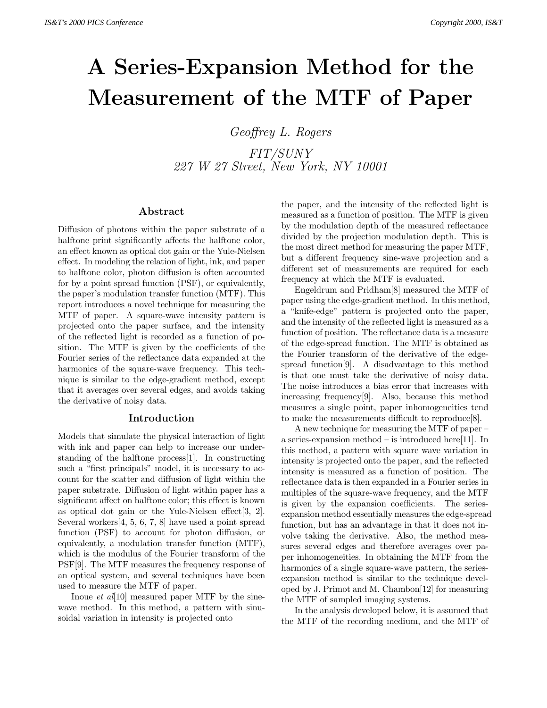# **A Series-Expansion Method for the Measurement of the MTF of Paper**

Geoffrey L. Rogers FIT/SUNY 227 W 27 Street, New York, NY 10001

## **Abstract**

Diffusion of photons within the paper substrate of a halftone print significantly affects the halftone color, an effect known as optical dot gain or the Yule-Nielsen effect. In modeling the relation of light, ink, and paper to halftone color, photon diffusion is often accounted for by a point spread function (PSF), or equivalently, the paper's modulation transfer function (MTF). This report introduces a novel technique for measuring the MTF of paper. A square-wave intensity pattern is projected onto the paper surface, and the intensity of the reflected light is recorded as a function of position. The MTF is given by the coefficients of the Fourier series of the reflectance data expanded at the harmonics of the square-wave frequency. This technique is similar to the edge-gradient method, except that it averages over several edges, and avoids taking the derivative of noisy data.

#### **Introduction**

Models that simulate the physical interaction of light with ink and paper can help to increase our understanding of the halftone process[1]. In constructing such a "first principals" model, it is necessary to account for the scatter and diffusion of light within the paper substrate. Diffusion of light within paper has a significant affect on halftone color; this effect is known as optical dot gain or the Yule-Nielsen effect[3, 2]. Several workers[4, 5, 6, 7, 8] have used a point spread function (PSF) to account for photon diffusion, or equivalently, a modulation transfer function (MTF), which is the modulus of the Fourier transform of the PSF[9]. The MTF measures the frequency response of an optical system, and several techniques have been used to measure the MTF of paper.

Inoue *et al*[10] measured paper MTF by the sinewave method. In this method, a pattern with sinusoidal variation in intensity is projected onto

the paper, and the intensity of the reflected light is measured as a function of position. The MTF is given by the modulation depth of the measured reflectance divided by the projection modulation depth. This is the most direct method for measuring the paper MTF, but a different frequency sine-wave projection and a different set of measurements are required for each frequency at which the MTF is evaluated.

Engeldrum and Pridham[8] measured the MTF of paper using the edge-gradient method. In this method, a "knife-edge" pattern is projected onto the paper, and the intensity of the reflected light is measured as a function of position. The reflectance data is a measure of the edge-spread function. The MTF is obtained as the Fourier transform of the derivative of the edgespread function[9]. A disadvantage to this method is that one must take the derivative of noisy data. The noise introduces a bias error that increases with increasing frequency[9]. Also, because this method measures a single point, paper inhomogeneities tend to make the measurements difficult to reproduce[8].

A new technique for measuring the MTF of paper – a series-expansion method – is introduced here[11]. In this method, a pattern with square wave variation in intensity is projected onto the paper, and the reflected intensity is measured as a function of position. The reflectance data is then expanded in a Fourier series in multiples of the square-wave frequency, and the MTF is given by the expansion coefficients. The seriesexpansion method essentially measures the edge-spread function, but has an advantage in that it does not involve taking the derivative. Also, the method measures several edges and therefore averages over paper inhomogeneities. In obtaining the MTF from the harmonics of a single square-wave pattern, the seriesexpansion method is similar to the technique developed by J. Primot and M. Chambon[12] for measuring the MTF of sampled imaging systems.

In the analysis developed below, it is assumed that the MTF of the recording medium, and the MTF of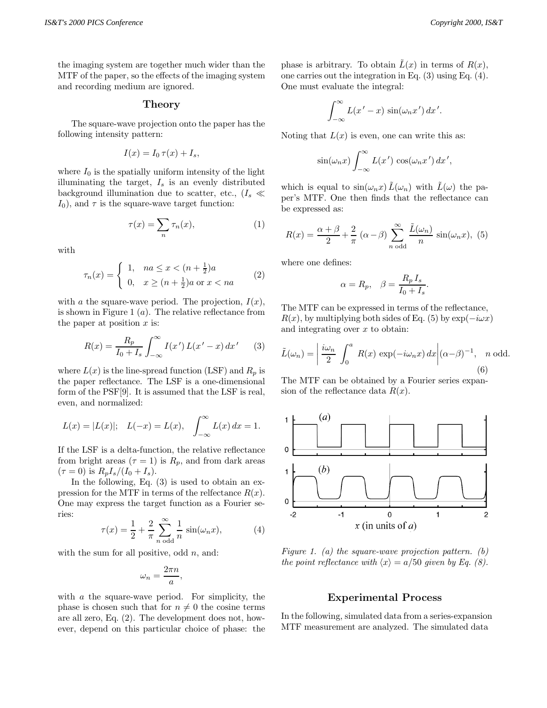the imaging system are together much wider than the MTF of the paper, so the effects of the imaging system and recording medium are ignored.

#### **Theory**

The square-wave projection onto the paper has the following intensity pattern:

$$
I(x) = I_0 \tau(x) + I_s,
$$

where  $I_0$  is the spatially uniform intensity of the light illuminating the target,  $I_s$  is an evenly distributed background illumination due to scatter, etc.,  $(I_s \ll I_s)$  $I_0$ , and  $\tau$  is the square-wave target function:

$$
\tau(x) = \sum_{n} \tau_n(x),\tag{1}
$$

with

$$
\tau_n(x) = \begin{cases} 1, & na \le x < (n + \frac{1}{2})a \\ 0, & x \ge (n + \frac{1}{2})a \text{ or } x < na \end{cases} \tag{2}
$$

with a the square-wave period. The projection,  $I(x)$ , is shown in Figure 1  $(a)$ . The relative reflectance from the paper at position  $x$  is:

$$
R(x) = \frac{R_p}{I_0 + I_s} \int_{-\infty}^{\infty} I(x') L(x' - x) dx'
$$
 (3)

where  $L(x)$  is the line-spread function (LSF) and  $R_p$  is the paper reflectance. The LSF is a one-dimensional form of the PSF[9]. It is assumed that the LSF is real, even, and normalized:

$$
L(x) = |L(x)|;
$$
  $L(-x) = L(x), \quad \int_{-\infty}^{\infty} L(x) dx = 1.$ 

If the LSF is a delta-function, the relative reflectance from bright areas  $(\tau = 1)$  is  $R_p$ , and from dark areas  $(\tau = 0)$  is  $R_p I_s / (I_0 + I_s)$ .

In the following, Eq. (3) is used to obtain an expression for the MTF in terms of the relfectance  $R(x)$ . One may express the target function as a Fourier series:

$$
\tau(x) = \frac{1}{2} + \frac{2}{\pi} \sum_{n \text{ odd}}^{\infty} \frac{1}{n} \sin(\omega_n x),\tag{4}
$$

with the sum for all positive, odd  $n$ , and:

$$
\omega_n = \frac{2\pi n}{a},
$$

with a the square-wave period. For simplicity, the phase is chosen such that for  $n \neq 0$  the cosine terms are all zero, Eq. (2). The development does not, however, depend on this particular choice of phase: the phase is arbitrary. To obtain  $\tilde{L}(x)$  in terms of  $R(x)$ , one carries out the integration in Eq. (3) using Eq. (4). One must evaluate the integral:

$$
\int_{-\infty}^{\infty} L(x'-x) \sin(\omega_n x') dx'.
$$

Noting that  $L(x)$  is even, one can write this as:

$$
\sin(\omega_n x) \int_{-\infty}^{\infty} L(x') \cos(\omega_n x') dx',
$$

which is equal to  $\sin(\omega_n x)\tilde{L}(\omega_n)$  with  $\tilde{L}(\omega)$  the paper's MTF. One then finds that the reflectance can be expressed as:

$$
R(x) = \frac{\alpha + \beta}{2} + \frac{2}{\pi} (\alpha - \beta) \sum_{n \text{ odd}}^{\infty} \frac{\tilde{L}(\omega_n)}{n} \sin(\omega_n x), \tag{5}
$$

where one defines:

$$
\alpha = R_p, \quad \beta = \frac{R_p I_s}{I_0 + I_s}.
$$

The MTF can be expressed in terms of the reflectance,  $R(x)$ , by multiplying both sides of Eq. (5) by  $\exp(-i\omega x)$ and integrating over  $x$  to obtain:

$$
\tilde{L}(\omega_n) = \left| \frac{i\omega_n}{2} \int_0^a R(x) \exp(-i\omega_n x) dx \right| (\alpha - \beta)^{-1}, \quad n \text{ odd.}
$$
\n(6)

The MTF can be obtained by a Fourier series expansion of the reflectance data  $R(x)$ .



Figure 1. (a) the square-wave projection pattern. (b) the point reflectance with  $\langle x \rangle = a/50$  given by Eq. (8).

#### **Experimental Process**

In the following, simulated data from a series-expansion MTF measurement are analyzed. The simulated data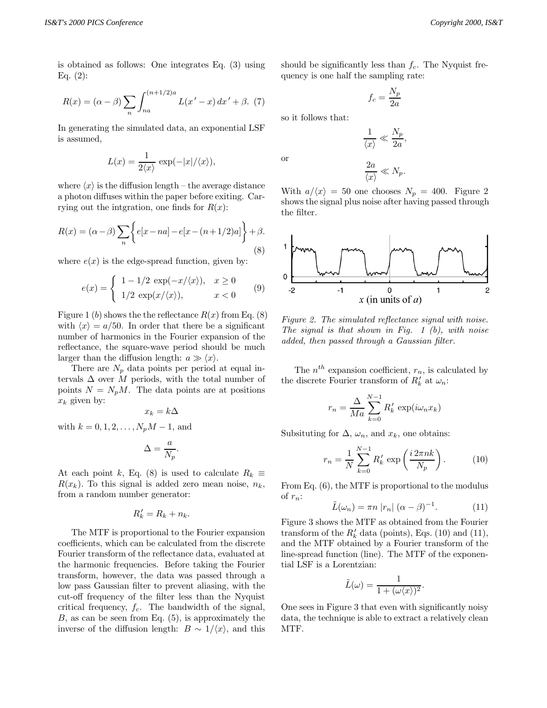is obtained as follows: One integrates Eq. (3) using Eq.  $(2)$ :

$$
R(x) = (\alpha - \beta) \sum_{n} \int_{na}^{(n+1/2)a} L(x'-x) dx' + \beta. \tag{7}
$$

In generating the simulated data, an exponential LSF is assumed,

$$
L(x) = \frac{1}{2\langle x \rangle} \exp(-|x|/\langle x \rangle),
$$

where  $\langle x \rangle$  is the diffusion length – the average distance a photon diffuses within the paper before exiting. Carrying out the intgration, one finds for  $R(x)$ :

$$
R(x) = (\alpha - \beta) \sum_{n} \left\{ e[x - na] - e[x - (n+1/2)a] \right\} + \beta.
$$
\n(8)

where  $e(x)$  is the edge-spread function, given by:

$$
e(x) = \begin{cases} 1 - 1/2 \exp(-x/\langle x \rangle), & x \ge 0 \\ 1/2 \exp(x/\langle x \rangle), & x < 0 \end{cases}
$$
(9)

Figure 1 (b) shows the the reflectance  $R(x)$  from Eq. (8) with  $\langle x \rangle = a/50$ . In order that there be a significant number of harmonics in the Fourier expansion of the reflectance, the square-wave period should be much larger than the diffusion length:  $a \gg \langle x \rangle$ .

There are  $N_p$  data points per period at equal intervals  $\Delta$  over M periods, with the total number of points  $N = N_p M$ . The data points are at positions  $x_k$  given by:

$$
x_k = k\Delta
$$

with  $k = 0, 1, 2, ..., N_pM - 1$ , and

$$
\Delta = \frac{a}{N_p}.
$$

At each point k, Eq. (8) is used to calculate  $R_k \equiv$  $R(x_k)$ . To this signal is added zero mean noise,  $n_k$ , from a random number generator:

$$
R'_k = R_k + n_k.
$$

The MTF is proportional to the Fourier expansion coefficients, which can be calculated from the discrete Fourier transform of the reflectance data, evaluated at the harmonic frequencies. Before taking the Fourier transform, however, the data was passed through a low pass Gaussian filter to prevent aliasing, with the cut-off frequency of the filter less than the Nyquist critical frequency,  $f_c$ . The bandwidth of the signal,  $B$ , as can be seen from Eq.  $(5)$ , is approximately the inverse of the diffusion length:  $B \sim 1/\langle x \rangle$ , and this should be significantly less than  $f_c$ . The Nyquist frequency is one half the sampling rate:

$$
f_c = \frac{N_p}{2a}
$$

so it follows that:

or

$$
\frac{1}{\langle x \rangle} \ll \frac{N_p}{2a},
$$
  

$$
\frac{2a}{\langle x \rangle} \ll N_p.
$$

With  $a/\langle x \rangle = 50$  one chooses  $N_p = 400$ . Figure 2 shows the signal plus noise after having passed through the filter.



Figure 2. The simulated reflectance signal with noise. The signal is that shown in Fig.  $1$  (b), with noise added, then passed through a Gaussian filter.

The  $n^{th}$  expansion coefficient,  $r_n$ , is calculated by the discrete Fourier transform of  $R'_k$  at  $\omega_n$ :

$$
r_n = \frac{\Delta}{Ma} \sum_{k=0}^{N-1} R'_k \exp(i\omega_n x_k)
$$

Subsituting for  $\Delta$ ,  $\omega_n$ , and  $x_k$ , one obtains:

$$
r_n = \frac{1}{N} \sum_{k=0}^{N-1} R'_k \exp\left(\frac{i 2\pi n k}{N_p}\right).
$$
 (10)

From Eq. (6), the MTF is proportional to the modulus of  $r_n$ :

$$
\tilde{L}(\omega_n) = \pi n \left| r_n \right| (\alpha - \beta)^{-1}.
$$
 (11)

Figure 3 shows the MTF as obtained from the Fourier transform of the  $R'_k$  data (points), Eqs. (10) and (11), and the MTF obtained by a Fourier transform of the line-spread function (line). The MTF of the exponential LSF is a Lorentzian:

$$
\tilde{L}(\omega) = \frac{1}{1 + (\omega \langle x \rangle)^2}.
$$

One sees in Figure 3 that even with significantly noisy data, the technique is able to extract a relatively clean MTF.